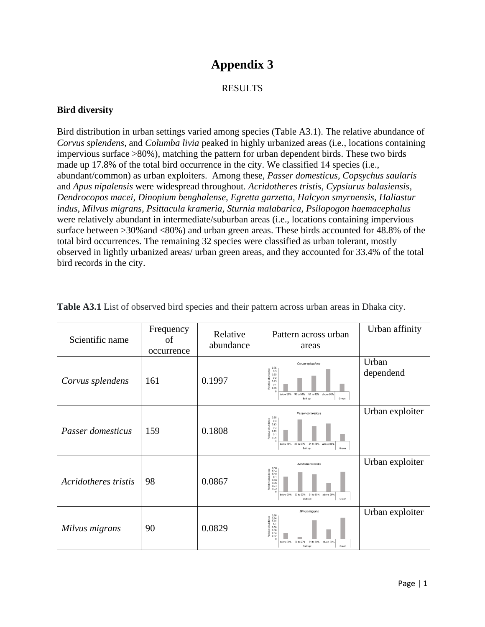## **Appendix 3**

## RESULTS

## **Bird diversity**

Bird distribution in urban settings varied among species (Table A3.1). The relative abundance of *Corvus splendens,* and *Columba livia* peaked in highly urbanized areas (i.e., locations containing impervious surface >80%), matching the pattern for urban dependent birds. These two birds made up 17.8% of the total bird occurrence in the city. We classified 14 species (i.e., abundant/common) as urban exploiters. Among these, *Passer domesticus, Copsychus saularis* and *Apus nipalensis* were widespread throughout*. Acridotheres tristis, Cypsiurus balasiensis, Dendrocopos macei, Dinopium benghalense, Egretta garzetta, Halcyon smyrnensis, Haliastur indus, Milvus migrans, Psittacula krameria, Sturnia malabarica, Psilopogon haemacephalus*  were relatively abundant in intermediate/suburban areas (i.e., locations containing impervious surface between >30% and <80%) and urban green areas. These birds accounted for 48.8% of the total bird occurrences. The remaining 32 species were classified as urban tolerant, mostly observed in lightly urbanized areas/ urban green areas, and they accounted for 33.4% of the total bird records in the city.

| Scientific name      | Frequency<br>of<br>occurrence | Relative<br>abundance | Pattern across urban<br>areas                                                                                                                                      | Urban affinity     |
|----------------------|-------------------------------|-----------------------|--------------------------------------------------------------------------------------------------------------------------------------------------------------------|--------------------|
| Corvus splendens     | 161                           | 0.1997                | Corvus splendens<br>0.35<br>0.3<br>0.25<br>0.2<br>0.15<br>g<br>0.1<br>š<br>0.05<br>30 to 50%<br>51 to 80%<br>above 80%<br>below 30%<br>Green<br>Built up           | Urban<br>dependend |
| Passer domesticus    | 159                           | 0.1808                | Passer domesticus<br>0.35<br>0.3<br>0.25<br>0.2<br>즢<br>0.15<br>0.1<br>훈<br>0.05<br>below 30%<br>30 to 50%<br>51 to 80%<br>above 80%<br>Green<br>Built up:         | Urban exploiter    |
| Acridotheres tristis | 98                            | 0.0867                | Acridotheres tristis<br>0.16<br>0.14<br>0.12<br>0.1<br>0.08<br>e<br>0.06<br>0.04<br>0.02<br>below 30%<br>51 to 80%<br>30 to 50%<br>above 80%<br>Green<br>Built up: | Urban exploiter    |
| Milvus migrans       | 90                            | 0.0829                | Milvus migrans<br>0.16<br>$0.14$<br>0.12<br>0.1<br>0.08<br>0.06<br>0.04<br>훈<br>0.02<br>below 30%<br>30 to 50%<br>51 to 80%<br>above 80%<br>Built up:<br>Green     | Urban exploiter    |

**Table A3.1** List of observed bird species and their pattern across urban areas in Dhaka city.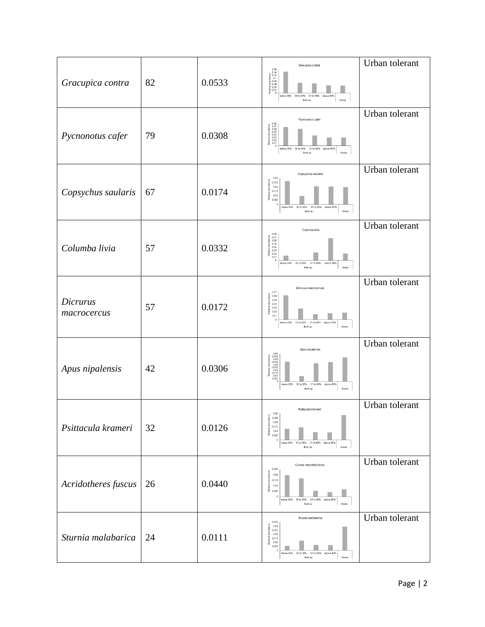|                         |    |        | Gracupica contra                                                                                                                                                                                                                  | Urban tolerant |
|-------------------------|----|--------|-----------------------------------------------------------------------------------------------------------------------------------------------------------------------------------------------------------------------------------|----------------|
| Gracupica contra        | 82 | 0.0533 | $\begin{array}{r} 0.16 \\ 0.14 \\ 0.12 \\ 0.12 \\ 0.08 \\ \hline \text{SVD} \\ \text{in } 0.06 \\ 0.00 \\ 0.02 \\ 0.02 \\ \hline \text{in } 0 \end{array}$<br>below 30% 30 to 50%<br>51 to 80%<br>above 80%<br>Green<br>Built up: |                |
|                         |    |        | Pycnonotus cafer                                                                                                                                                                                                                  | Urban tolerant |
| Pycnonotus cafer        | 79 | 0.0308 | below 30% 30 to 50%<br>51 to 80%<br>above 80%<br>Built up:<br>Green                                                                                                                                                               |                |
|                         |    |        | Copsychus saularis<br>0.03                                                                                                                                                                                                        | Urban tolerant |
| Copsychus saularis      | 67 | 0.0174 | 0.025<br>0.02<br>0.015<br>0.01<br>0.005<br>$\theta$<br>30 to 50%<br>below 30%<br>51 to 80%<br>above 80%<br>Built up:<br>Green                                                                                                     |                |
|                         |    |        | Columba livia                                                                                                                                                                                                                     | Urban tolerant |
| Columba livia           | 57 | 0.0332 | $\begin{array}{c} 0.08 \\ 0.07 \\ 0.06 \\ 0.05 \end{array}$<br>0.04<br>0.03<br>Raia<br>0.02<br>0.01<br>below 30%<br>30 to 50%<br>51 to 80%<br>above 80%<br>Built up:<br>Green                                                     |                |
|                         |    |        | Dicrurus macrocercus                                                                                                                                                                                                              | Urban tolerant |
| Dicrurus<br>macrocercus | 57 | 0.0172 | 0.07<br>0.06<br>0.05<br>0.04<br>0.03<br><b>Dala</b><br>0.02<br>0.01<br>$\circ$<br>below 30%<br>30 to 50%<br>51 to 80%<br>above 80%<br>Built up:<br>Green                                                                          |                |
|                         |    |        | Apus nipalensis                                                                                                                                                                                                                   | Urban tolerant |
| Apus nipalensis         | 42 | 0.0306 | $\begin{array}{r} 0.05 \\ 0.045 \\ 0.04 \\ 0.035 \\ 0.025 \\ 0.025 \\ 0.015 \\ 0.011 \\ 0.005 \end{array}$<br>below 30% 30 to 50%<br>51 to 80%<br>above 80%<br>Green<br>Built up:                                                 |                |
|                         |    |        | Psittacula krameri<br>0.03                                                                                                                                                                                                        | Urban tolerant |
| Psittacula krameri      | 32 | 0.0126 | 0.025<br>0.02<br>0.015<br>0.01<br>Rela<br>0.005<br>below 30%<br>30 to 50%<br>51 to 80%<br>above 80%<br>Green<br>Built up:                                                                                                         |                |
|                         |    |        | Corvus macrorhynchos<br>0.025                                                                                                                                                                                                     | Urban tolerant |
| Acridotheres fuscus     | 26 | 0.0440 | 0.02<br>0.015<br>0.01<br>å<br>0.005<br>below 30% 30 to 50%<br>51 to 80%<br>above 80%<br>Green<br>Built up:                                                                                                                        |                |
|                         |    |        | Sturnia malabarica<br>0.035<br>0.03                                                                                                                                                                                               | Urban tolerant |
| Sturnia malabarica      | 24 | 0.0111 | 0.025<br>0.02<br>0.015<br><sup>2</sup> alat<br>0.01<br>0.005<br>30 to 50%<br>51 to 80%<br>below 30%<br>above 80%<br>Green<br>Built up:                                                                                            |                |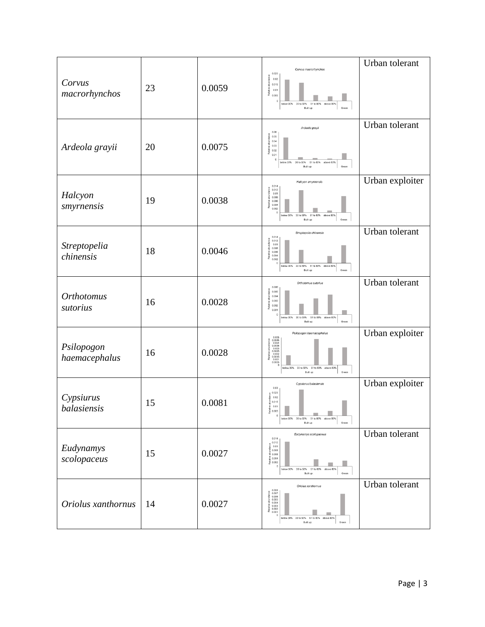|                               |    |        | Corvus macrorhynchos                                                                                                                                                                        | Urban tolerant  |
|-------------------------------|----|--------|---------------------------------------------------------------------------------------------------------------------------------------------------------------------------------------------|-----------------|
| Corvus<br>macrorhynchos       | 23 | 0.0059 | 0.025<br>0.02<br>0.015<br>0.01<br>$\overline{a}$<br>0.005<br>below 30%<br>30 to 50%<br>51 to 80%<br>above 80°<br>Green<br>Built up                                                          |                 |
|                               |    |        | Ardeola grayii<br>0.06                                                                                                                                                                      | Urban tolerant  |
| Ardeola grayii                | 20 | 0.0075 | 0.05<br>0.04<br>0.03<br>0.02<br><b>Reli</b><br>0.01<br>below 30%<br>30 to 50%<br>51 to 80% above 80%<br>Green<br>Built up                                                                   |                 |
|                               |    |        | Halcyon smymensis<br>0.014                                                                                                                                                                  | Urban exploiter |
| Halcyon<br>smyrnensis         | 19 | 0.0038 | 0.012<br>0.01<br>0.008<br>0.006<br>0.004<br>0.002<br>below 30%<br>30 to 50%<br>51 to 80%<br>above 80%<br>Green<br>Built up:                                                                 |                 |
|                               |    |        | Streptopelia chinensis<br>0.014<br>0.012                                                                                                                                                    | Urban tolerant  |
| Streptopelia<br>chinensis     | 18 | 0.0046 | 0.01<br>0.008<br>0.006<br>0.004<br>0.002<br>below 30% 30 to 50%<br>51 to 80%<br>above 80%<br>Built up:<br>Green                                                                             |                 |
|                               |    |        | Orthotomus sutorius<br>0.006<br>0.005                                                                                                                                                       | Urban tolerant  |
| <b>Orthotomus</b><br>sutorius | 16 | 0.0028 | 0.004<br>0.003<br>0.002<br>š<br>0.001<br>$\Omega$<br>30 to 50%<br>51 to 80%<br>below 30%<br>above 80%<br>Green<br>Built up:                                                                 |                 |
|                               |    |        | Psilopogon haemacephalus                                                                                                                                                                    | Urban exploiter |
| Psilopogon<br>haemacephalus   | 16 | 0.0028 | $\begin{array}{r} 0.005 \\ 0.0045 \\ 0.004 \\ 0.0035 \\ 0.0035 \\ 0.0025 \\ 0.0015 \\ 0.001 \\ 0.0005 \end{array}$<br>30 to 50%<br>51 to 80%<br>below 30%<br>above 80%<br>Built up<br>Green |                 |
|                               |    |        | Cypsiurus balasiensis<br>0.03<br>0.025                                                                                                                                                      | Urban exploiter |
| Cypsiurus<br>balasiensis      | 15 | 0.0081 | 0.02<br>0.015<br>0.01<br>$\circ$<br>below 30% 30 to 50%<br>51 to 80% above 80%<br>Green<br>Built up:                                                                                        |                 |
|                               |    |        | Eudynamys scolopaceus<br>0.014<br>0.012                                                                                                                                                     | Urban tolerant  |
| Eudynamys<br>scolopaceus      | 15 | 0.0027 | 0.01<br>0.008<br>0.006<br>8 0.004<br>훈 0.002<br>below 30%<br>30 to 50%<br>51 to 80%<br>above 80%<br>Green<br>Built up                                                                       |                 |
|                               |    |        | Oriolus xanthornus<br>0.006                                                                                                                                                                 | Urban tolerant  |
| Oriolus xanthornus            | 14 | 0.0027 | $0.007$<br>$0.008$<br>$0.005$<br>0.004<br>0.003<br>0.002<br>g<br>0.001<br>below 30% 30 to 50%<br>51 to 80% above 80%<br>Green<br>Built up                                                   |                 |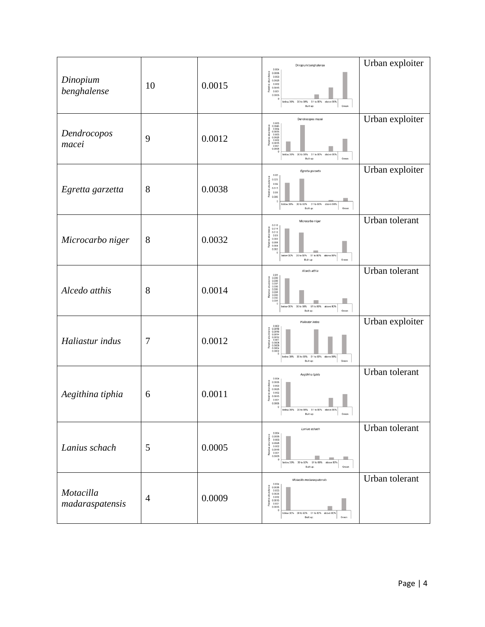|                              |                |        | Dinopium benghalense<br>0.004                                                                                                                                                                                              | Urban exploiter |
|------------------------------|----------------|--------|----------------------------------------------------------------------------------------------------------------------------------------------------------------------------------------------------------------------------|-----------------|
| Dinopium<br>benghalense      | 10             | 0.0015 | 0.0035<br>0.003<br>0.0025<br>0.002<br>0.0015<br>0.001<br>0.0005<br>below 30%<br>30 to 50%<br>51 to 80%<br>above 80<br>Built up<br>Green                                                                                    |                 |
| Dendrocopos<br>macei         | 9              | 0.0012 | Dendrocopos macei<br>$\begin{array}{c} 0.005 \\ 0.0045 \\ 0.004 \\ 0.0035 \\ 0.0035 \\ 0.0025 \\ 0.002 \\ 0.0015 \\ 0.001 \\ 0.0005 \end{array}$<br>below 30%<br>30 to 50%<br>51 to 80%<br>above 80%<br>Built up:<br>Green | Urban exploiter |
| Egretta garzetta             | 8              | 0.0038 | Egretta garzetta<br>0.03<br>0.025<br>0.02<br>0.015<br>0.01<br><b>Rela</b><br>0.005<br>below 30%<br>30 to 50%<br>51 to 80%<br>above 80%<br>Built up:<br>Green                                                               | Urban exploiter |
| Microcarbo niger             | 8              | 0.0032 | Microcarbo nige<br>0.016<br>0.014<br>0.012<br>0.01<br>0.008<br>0.006<br>0.004<br>0.002<br>51 to 80%<br>below 30% 30 to 50%<br>above 80%<br>Green<br>Built up:                                                              | Urban tolerant  |
| Alcedo atthis                | 8              | 0.0014 | Alcedo atthis<br>$\begin{array}{c} 0.01 \\ 0.009 \\ 0.008 \\ 0.007 \\ 0.006 \\ 0.005 \\ 0.004 \\ 0.003 \\ 0.003 \\ \end{array}$<br>0.001<br>30 to 50%<br>below 30%<br>51 to 80%<br>above 80%<br>Built up:<br>Green         | Urban tolerant  |
| Haliastur indus              | 7              | 0.0012 | Haliastur indus<br>$\begin{array}{r} 0.002 \\ 0.0018 \\ 0.0016 \\ 0.0014 \\ 0.0012 \\ 0.001 \\ 0.0008 \\ 0.0008 \\ \end{array}$<br>0.0004<br>0.0002<br>below 30% 30 to 50%<br>51 to 80%<br>above 80%<br>Green<br>Built up: | Urban exploiter |
| Aegithina tiphia             | 6              | 0.0011 | Aegithina tiphia<br>0.004<br>0.0035<br>0.003<br>0.0025<br>0.002<br>0.0015<br>0.001<br>0.0005<br>$\circ$<br>below 30% 30 to 50% 51 to 80% above 80%<br>Green<br>Built up:                                                   | Urban tolerant  |
| Lanius schach                | 5              | 0.0005 | Lanius schach<br>0.004<br>0.0035<br>0.003<br>0.0025<br>0.002<br>0.0015<br>0.001<br>0.0005<br>٠<br>$\circ$<br>below 30% 30 to 50%<br>51 to 80%<br>above 80%<br>Green<br>Built up:                                           | Urban tolerant  |
| Motacilla<br>madaraspatensis | $\overline{4}$ | 0.0009 | Motacilla madaraspatensis<br>0.004<br>0.0035<br>0.003<br>0.0025<br>0.002<br>0.0015<br>Reij<br>0.001<br>0.0005<br>C<br>below 30% 30 to 50% 51 to 80% above 80%<br>Built up:<br>Green                                        | Urban tolerant  |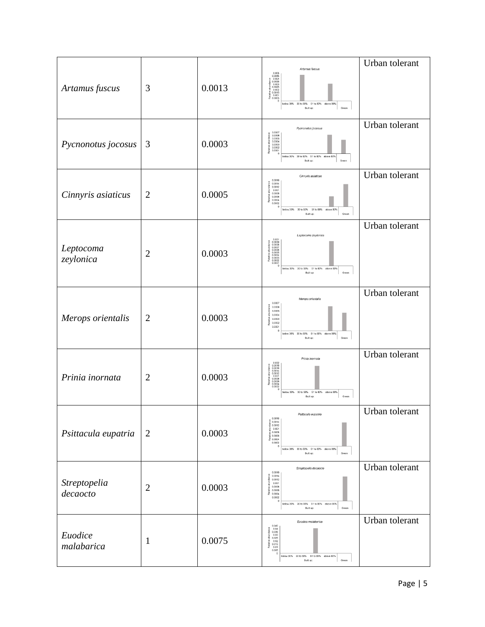| Artamus fuscus           | 3              | 0.0013 | Artamus fuscus<br>$\begin{array}{r} 0.005 \\ 0.0045 \\ 0.0045 \\ 0.0035 \\ 0.0025 \\ 0.0025 \\ 0.0015 \\ 0.0015 \\ 0.0005 \\ 0.0005 \\ \end{array}$<br>below 30% 30 to 50% 51 to 80%<br>above 80%<br>Built up:<br>Green                                | Urban tolerant |
|--------------------------|----------------|--------|--------------------------------------------------------------------------------------------------------------------------------------------------------------------------------------------------------------------------------------------------------|----------------|
| Pycnonotus jocosus       | 3              | 0.0003 | Pycnonotus jocosus<br>0.0007<br>$0.0006$<br>$0.0005$<br>0.0004<br>0.0003<br>0.0002<br>0.0001<br>below 30% 30 to 50% 51 to 80% above 80%<br>Built up:<br>Green                                                                                          | Urban tolerant |
| Cinnyris asiaticus       | $\overline{2}$ | 0.0005 | Cinnyris asiaticus<br>$0.0016$<br>$0.0014$<br>0.0012<br>0.001<br>0.0008<br>$0.0006$<br>$0.0004$<br>0.0002<br>below 30% 30 to 50% 51 to 80% above 80%<br>Built up:<br>Green                                                                             | Urban tolerant |
| Leptocoma<br>zeylonica   | $\overline{2}$ | 0.0003 | Leptocoma zeylonica<br>$\begin{array}{c} 0.001 \\ 0.0009 \\ 0.0008 \\ 0.0007 \\ 0.0005 \\ 0.0005 \\ 0.0004 \\ 0.0003 \\ 0.0002 \\ 0.0002 \\ 0.0001 \\ 0.0001 \\ \end{array}$<br>below 30%<br>30 to 50%<br>51 to 80%<br>above 80%<br>Green<br>Built up: | Urban tolerant |
| Merops orientalis        | $\overline{2}$ | 0.0003 | Merops orientalis<br>0.0007<br>0.0006<br>0.0005<br>0.0004<br>0.0003<br>0.0002<br>0.0001<br>$\circ$<br>below 30% 30 to 50% 51 to 80%<br>above 80%<br>Green<br>Built up                                                                                  | Urban tolerant |
| Prinia inornata          | $\overline{2}$ | 0.0003 | Prinia inomata<br>$\begin{array}{r} 0.002 \\ 0.0018 \\ 0.0016 \\ 0.0014 \\ 0.0012 \\ 0.0018 \\ 0.0008 \\ 0.0004 \\ 0.0004 \\ 0.0002 \end{array}$<br>below 30%<br>30 to 50%<br>51 to 80%<br>above 80%<br>Green<br>Built up:                             | Urban tolerant |
| Psittacula eupatria      | $\overline{2}$ | 0.0003 | Psittacula eupatria<br>0.0016<br>운 0.0014<br>0.0012<br>0.001<br>0.0008<br>$\frac{5}{2}$ 0.0006<br>훈 0.0004<br>0.0002<br>$\circ$<br>below 30% 30 to 50% 51 to 80% above 80%<br>Green<br>Built up:                                                       | Urban tolerant |
| Streptopelia<br>decaocto | $\overline{2}$ | 0.0003 | Streptopelia decaocto<br>0.0016<br>0.0014<br>0.0012<br>0.001<br>0.0008<br>0.0006<br>$\frac{1}{6}$ 0.0004<br>0.0002<br>$\circ$<br>below 30% 30 to 50% 51 to 80% above 80%<br>Green<br>Built up:                                                         | Urban tolerant |
| Euodice<br>malabarica    | 1              | 0.0075 | Euodice malabarica<br>0.045<br>$0.04$<br>$0.035$<br>$0.03$<br>0.025<br>$0.015$<br>$0.01$<br>š<br>0.005<br>below 30% 30 to 50% 51 to 80% above 80%<br>Green<br>Built up:                                                                                | Urban tolerant |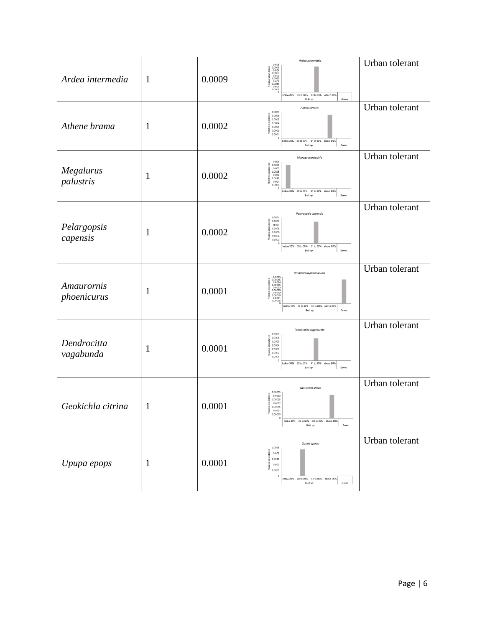| Ardea intermedia          | 1 | 0.0009 | Ardea intermedia<br>$\begin{array}{c} 0.005 \\ 0.0045 \\ 0.004 \\ 0.0035 \end{array}$<br>0.0035<br>0.0025<br>0.0025<br>0.0015<br>0.0005<br>below 30% 30 to 50% 51 to 80% above 80%<br>Green<br>Built up:                                            | Urban tolerant |
|---------------------------|---|--------|-----------------------------------------------------------------------------------------------------------------------------------------------------------------------------------------------------------------------------------------------------|----------------|
| Athene brama              | 1 | 0.0002 | Athene brama<br>0.0007<br>0.0006<br>0.0005<br>0.0004<br>0.0003<br>0.0002<br>Rela<br>0.0001<br>o<br>below 30% 30 to 50% 51 to 80% above 80%<br>Green<br>Built up:                                                                                    | Urban tolerant |
| Megalurus<br>palustris    | 1 | 0.0002 | Megalurus palustris<br>0.004<br>0.0035<br>$0.003$<br>$0.0025$<br>0.002<br>0.0015<br>0.001<br>0.0005<br>$\circ$<br>below 30% 30 to 50% 51 to 80% above 80%<br>Green<br>Built up:                                                                     | Urban tolerant |
| Pelargopsis<br>capensis   | 1 | 0.0002 | Pelargopsis capensis<br>0.0014<br>0.0012<br>0.001<br>0.0008<br>0.0006<br>0.0004<br>훉<br>0.0002<br>below 30% 30 to 50% 51 to 80% above 80%<br>Built up:<br>Green                                                                                     | Urban tolerant |
| Amaurornis<br>phoenicurus | 1 | 0.0001 | Amauromis phoenicurus<br>$\begin{array}{c} 0.0005 \\ 0.00045 \\ 0.00046 \\ 0.00038 \\ 0.00025 \\ 0.00025 \\ 0.00025 \\ 0.00016 \\ 0.00016 \\ 0.00006 \end{array}$<br>$\overline{a}$<br>elow 30% 30 to 50% 51 to 80% above 80%<br>Green<br>Built up: | Urban tolerant |
| Dendrocitta<br>vagabunda  | 1 | 0.0001 | Dendrocitta vagabunda<br>0.0007<br>0.0006<br>0.0005<br>0.0004<br>0.0003<br>0.0002<br>ž<br>0.0001<br>$\Omega$<br>below 30% 30 to 50% 51 to 80% above 80%<br>Green<br>Built up                                                                        | Urban tolerant |
| Geokichla citrina         | 1 | 0.0001 | Geokichla citrina<br>0.00035<br>0.0003<br>0.00025<br>0.0002<br>0.00015<br>0.0001<br>$\frac{8}{2000005}$<br>below 30% 30 to 50% 51 to 80% above 80%<br>Built up:<br>Green                                                                            | Urban tolerant |
| Upupa epops               | 1 | 0.0001 | Upupa epops<br>0.0025<br>0.002<br>0.0015<br>0.001<br>å<br>0.0005<br>0<br>below 30%<br>30 to 50%<br>51 to 80%<br>above 80%<br>Built up:<br>Green                                                                                                     | Urban tolerant |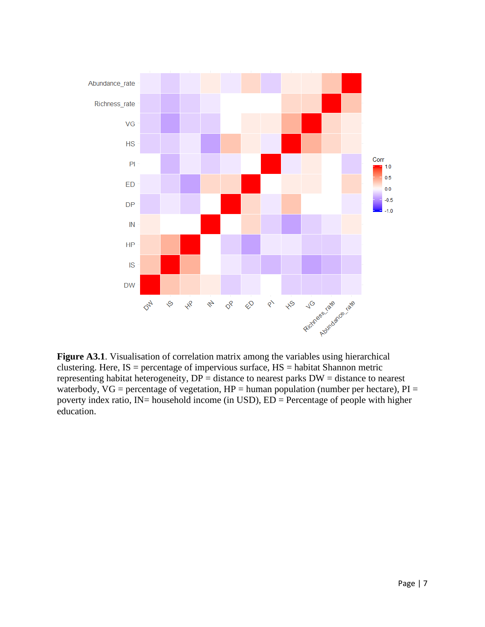

Figure A3.1. Visualisation of correlation matrix among the variables using hierarchical clustering. Here,  $IS =$  percentage of impervious surface,  $HS =$  habitat Shannon metric representing habitat heterogeneity,  $DP =$  distance to nearest parks  $DW =$  distance to nearest waterbody,  $VG =$  percentage of vegetation,  $HP =$  human population (number per hectare),  $PI =$ poverty index ratio,  $IN =$  household income (in USD),  $ED =$  Percentage of people with higher education.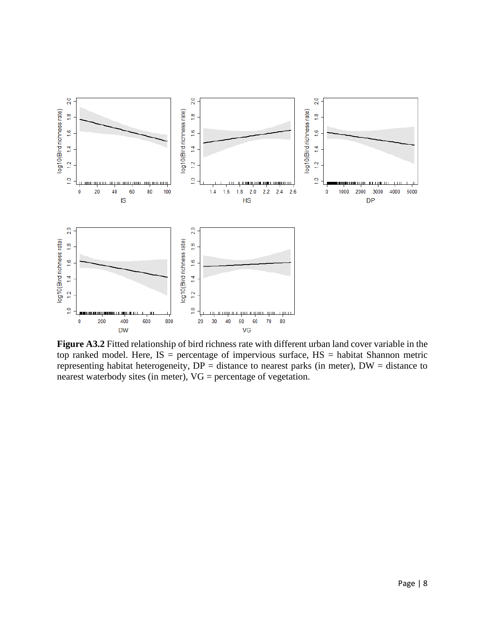

**Figure A3.2** Fitted relationship of bird richness rate with different urban land cover variable in the top ranked model. Here,  $IS =$  percentage of impervious surface,  $HS =$  habitat Shannon metric representing habitat heterogeneity,  $DP = distance$  to nearest parks (in meter),  $DW = distance$  to nearest waterbody sites (in meter), VG = percentage of vegetation.